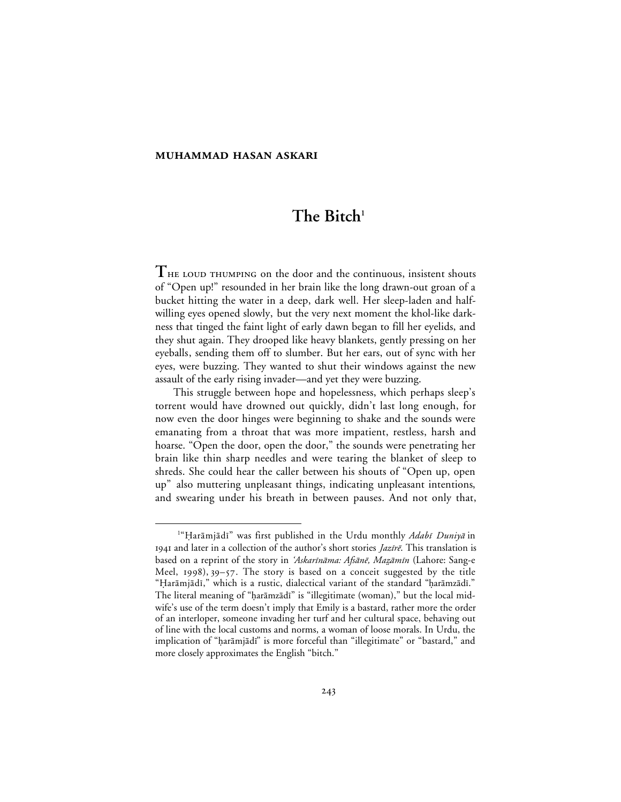### **MUHAMMAD HASAN ASKARI**

# The Bitch<sup>1</sup>

 $\rm T$   $\rm _{HE}$  loud the van the door and the continuous, insistent shouts of "Open up!" resounded in her brain like the long drawn-out groan of a bucket hitting the water in a deep, dark well. Her sleep-laden and halfwilling eyes opened slowly, but the very next moment the khol-like darkness that tinged the faint light of early dawn began to fill her eyelids, and they shut again. They drooped like heavy blankets, gently pressing on her eyeballs, sending them off to slumber. But her ears, out of sync with her eyes, were buzzing. They wanted to shut their windows against the new assault of the early rising invader—and yet they were buzzing.

This struggle between hope and hopelessness, which perhaps sleep's torrent would have drowned out quickly, didn't last long enough, for now even the door hinges were beginning to shake and the sounds were emanating from a throat that was more impatient, restless, harsh and hoarse. "Open the door, open the door," the sounds were penetrating her brain like thin sharp needles and were tearing the blanket of sleep to shreds. She could hear the caller between his shouts of "Open up, open up" also muttering unpleasant things, indicating unpleasant intentions, and swearing under his breath in between pauses. And not only that,

 $\overline{\phantom{a}}$ <sup>1</sup>"Harāmjādī" was first published in the Urdu monthly Adabī Duniyā in 1941 and later in a collection of the author's short stories *Jazīrē*. This translation is based on a reprint of the story in 'Askarīnāma: Afsānē, Magāmīn (Lahore: Sang-e Meel, 1998),  $39-57$ . The story is based on a conceit suggested by the title "Harāmjādī," which is a rustic, dialectical variant of the standard "harāmzādī." The literal meaning of "harāmzādī" is "illegitimate (woman)," but the local midwife's use of the term doesn't imply that Emily is a bastard, rather more the order of an interloper, someone invading her turf and her cultural space, behaving out of line with the local customs and norms, a woman of loose morals. In Urdu, the implication of "harāmjādī" is more forceful than "illegitimate" or "bastard," and more closely approximates the English "bitch."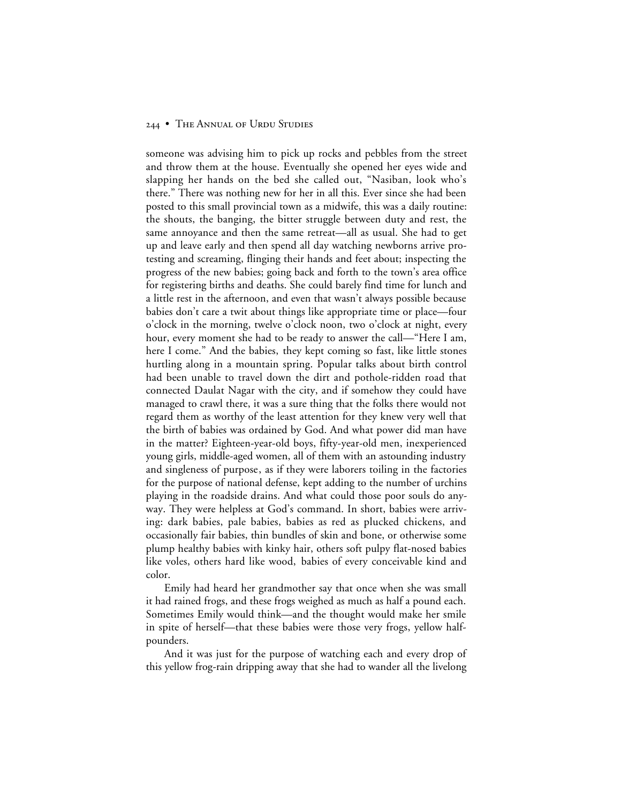someone was advising him to pick up rocks and pebbles from the street and throw them at the house. Eventually she opened her eyes wide and slapping her hands on the bed she called out, "Nasiban, look who's there." There was nothing new for her in all this. Ever since she had been posted to this small provincial town as a midwife, this was a daily routine: the shouts, the banging, the bitter struggle between duty and rest, the same annoyance and then the same retreat—all as usual. She had to get up and leave early and then spend all day watching newborns arrive protesting and screaming, flinging their hands and feet about; inspecting the progress of the new babies; going back and forth to the town's area office for registering births and deaths. She could barely find time for lunch and a little rest in the afternoon, and even that wasn't always possible because babies don't care a twit about things like appropriate time or place—four o'clock in the morning, twelve o'clock noon, two o'clock at night, every hour, every moment she had to be ready to answer the call—"Here I am, here I come." And the babies, they kept coming so fast, like little stones hurtling along in a mountain spring. Popular talks about birth control had been unable to travel down the dirt and pothole-ridden road that connected Daulat Nagar with the city, and if somehow they could have managed to crawl there, it was a sure thing that the folks there would not regard them as worthy of the least attention for they knew very well that the birth of babies was ordained by God. And what power did man have in the matter? Eighteen-year-old boys, fifty-year-old men, inexperienced young girls, middle-aged women, all of them with an astounding industry and singleness of purpose, as if they were laborers toiling in the factories for the purpose of national defense, kept adding to the number of urchins playing in the roadside drains. And what could those poor souls do anyway. They were helpless at God's command. In short, babies were arriving: dark babies, pale babies, babies as red as plucked chickens, and occasionally fair babies, thin bundles of skin and bone, or otherwise some plump healthy babies with kinky hair, others soft pulpy flat-nosed babies like voles, others hard like wood, babies of every conceivable kind and color.

Emily had heard her grandmother say that once when she was small it had rained frogs, and these frogs weighed as much as half a pound each. Sometimes Emily would think—and the thought would make her smile in spite of herself—that these babies were those very frogs, yellow halfpounders.

And it was just for the purpose of watching each and every drop of this yellow frog-rain dripping away that she had to wander all the livelong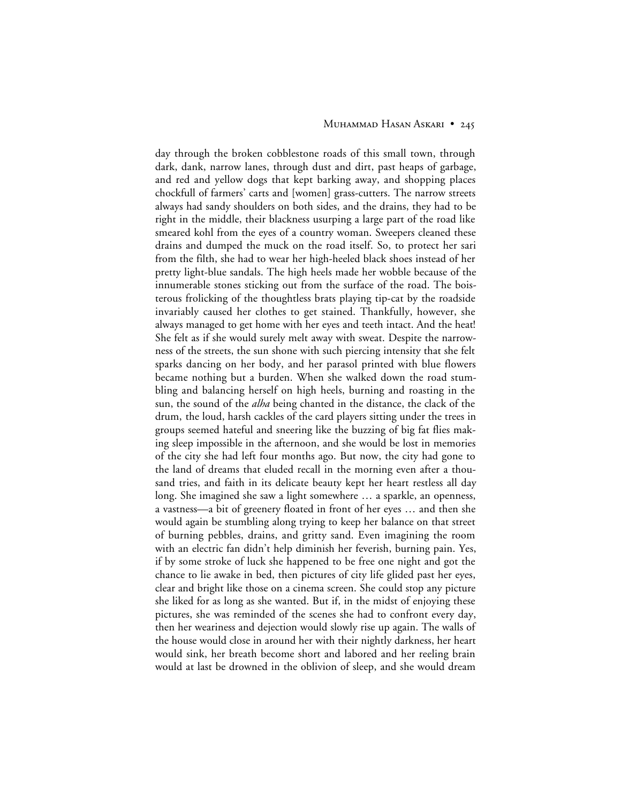### MUHAMMAD HASAN ASKARI • 245

day through the broken cobblestone roads of this small town, through dark, dank, narrow lanes, through dust and dirt, past heaps of garbage, and red and yellow dogs that kept barking away, and shopping places chockfull of farmers' carts and [women] grass-cutters. The narrow streets always had sandy shoulders on both sides, and the drains, they had to be right in the middle, their blackness usurping a large part of the road like smeared kohl from the eyes of a country woman. Sweepers cleaned these drains and dumped the muck on the road itself. So, to protect her sari from the filth, she had to wear her high-heeled black shoes instead of her pretty light-blue sandals. The high heels made her wobble because of the innumerable stones sticking out from the surface of the road. The boisterous frolicking of the thoughtless brats playing tip-cat by the roadside invariably caused her clothes to get stained. Thankfully, however, she always managed to get home with her eyes and teeth intact. And the heat! She felt as if she would surely melt away with sweat. Despite the narrowness of the streets, the sun shone with such piercing intensity that she felt sparks dancing on her body, and her parasol printed with blue flowers became nothing but a burden. When she walked down the road stumbling and balancing herself on high heels, burning and roasting in the sun, the sound of the *alha* being chanted in the distance, the clack of the drum, the loud, harsh cackles of the card players sitting under the trees in groups seemed hateful and sneering like the buzzing of big fat flies making sleep impossible in the afternoon, and she would be lost in memories of the city she had left four months ago. But now, the city had gone to the land of dreams that eluded recall in the morning even after a thousand tries, and faith in its delicate beauty kept her heart restless all day long. She imagined she saw a light somewhere … a sparkle, an openness, a vastness—a bit of greenery floated in front of her eyes … and then she would again be stumbling along trying to keep her balance on that street of burning pebbles, drains, and gritty sand. Even imagining the room with an electric fan didn't help diminish her feverish, burning pain. Yes, if by some stroke of luck she happened to be free one night and got the chance to lie awake in bed, then pictures of city life glided past her eyes, clear and bright like those on a cinema screen. She could stop any picture she liked for as long as she wanted. But if, in the midst of enjoying these pictures, she was reminded of the scenes she had to confront every day, then her weariness and dejection would slowly rise up again. The walls of the house would close in around her with their nightly darkness, her heart would sink, her breath become short and labored and her reeling brain would at last be drowned in the oblivion of sleep, and she would dream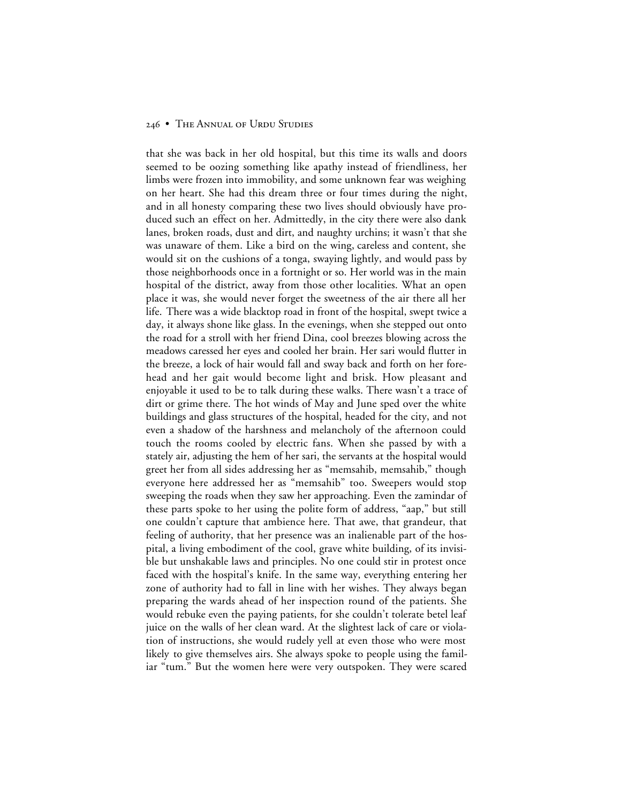that she was back in her old hospital, but this time its walls and doors seemed to be oozing something like apathy instead of friendliness, her limbs were frozen into immobility, and some unknown fear was weighing on her heart. She had this dream three or four times during the night, and in all honesty comparing these two lives should obviously have produced such an effect on her. Admittedly, in the city there were also dank lanes, broken roads, dust and dirt, and naughty urchins; it wasn't that she was unaware of them. Like a bird on the wing, careless and content, she would sit on the cushions of a tonga, swaying lightly, and would pass by those neighborhoods once in a fortnight or so. Her world was in the main hospital of the district, away from those other localities. What an open place it was, she would never forget the sweetness of the air there all her life. There was a wide blacktop road in front of the hospital, swept twice a day, it always shone like glass. In the evenings, when she stepped out onto the road for a stroll with her friend Dina, cool breezes blowing across the meadows caressed her eyes and cooled her brain. Her sari would flutter in the breeze, a lock of hair would fall and sway back and forth on her forehead and her gait would become light and brisk. How pleasant and enjoyable it used to be to talk during these walks. There wasn't a trace of dirt or grime there. The hot winds of May and June sped over the white buildings and glass structures of the hospital, headed for the city, and not even a shadow of the harshness and melancholy of the afternoon could touch the rooms cooled by electric fans. When she passed by with a stately air, adjusting the hem of her sari, the servants at the hospital would greet her from all sides addressing her as "memsahib, memsahib," though everyone here addressed her as "memsahib" too. Sweepers would stop sweeping the roads when they saw her approaching. Even the zamindar of these parts spoke to her using the polite form of address, "aap," but still one couldn't capture that ambience here. That awe, that grandeur, that feeling of authority, that her presence was an inalienable part of the hospital, a living embodiment of the cool, grave white building, of its invisible but unshakable laws and principles. No one could stir in protest once faced with the hospital's knife. In the same way, everything entering her zone of authority had to fall in line with her wishes. They always began preparing the wards ahead of her inspection round of the patients. She would rebuke even the paying patients, for she couldn't tolerate betel leaf juice on the walls of her clean ward. At the slightest lack of care or violation of instructions, she would rudely yell at even those who were most likely to give themselves airs. She always spoke to people using the familiar "tum." But the women here were very outspoken. They were scared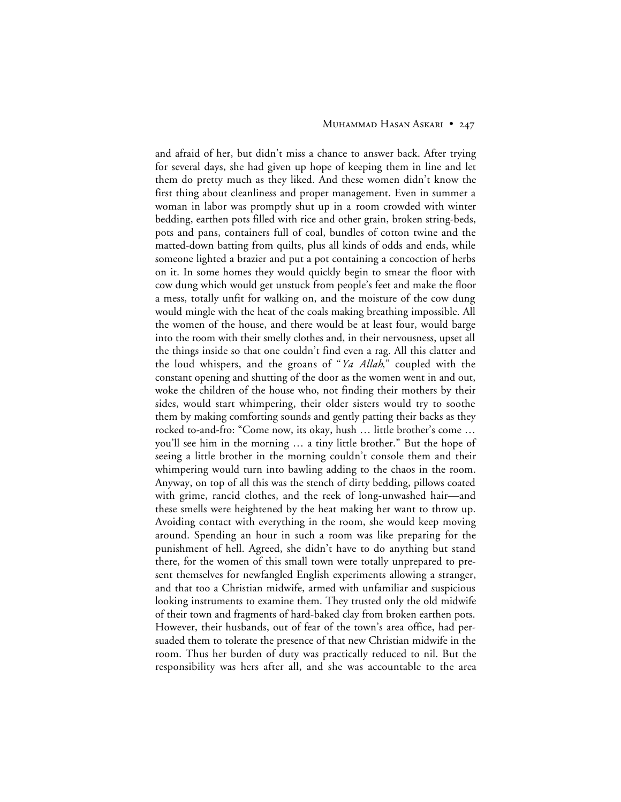and afraid of her, but didn't miss a chance to answer back. After trying for several days, she had given up hope of keeping them in line and let them do pretty much as they liked. And these women didn't know the first thing about cleanliness and proper management. Even in summer a woman in labor was promptly shut up in a room crowded with winter bedding, earthen pots filled with rice and other grain, broken string-beds, pots and pans, containers full of coal, bundles of cotton twine and the matted-down batting from quilts, plus all kinds of odds and ends, while someone lighted a brazier and put a pot containing a concoction of herbs on it. In some homes they would quickly begin to smear the floor with cow dung which would get unstuck from people's feet and make the floor a mess, totally unfit for walking on, and the moisture of the cow dung would mingle with the heat of the coals making breathing impossible. All the women of the house, and there would be at least four, would barge into the room with their smelly clothes and, in their nervousness, upset all the things inside so that one couldn't find even a rag. All this clatter and the loud whispers, and the groans of "*Ya Allah*," coupled with the constant opening and shutting of the door as the women went in and out, woke the children of the house who, not finding their mothers by their sides, would start whimpering, their older sisters would try to soothe them by making comforting sounds and gently patting their backs as they rocked to-and-fro: "Come now, its okay, hush … little brother's come … you'll see him in the morning … a tiny little brother." But the hope of seeing a little brother in the morning couldn't console them and their whimpering would turn into bawling adding to the chaos in the room. Anyway, on top of all this was the stench of dirty bedding, pillows coated with grime, rancid clothes, and the reek of long-unwashed hair—and these smells were heightened by the heat making her want to throw up. Avoiding contact with everything in the room, she would keep moving around. Spending an hour in such a room was like preparing for the punishment of hell. Agreed, she didn't have to do anything but stand there, for the women of this small town were totally unprepared to present themselves for newfangled English experiments allowing a stranger, and that too a Christian midwife, armed with unfamiliar and suspicious looking instruments to examine them. They trusted only the old midwife of their town and fragments of hard-baked clay from broken earthen pots. However, their husbands, out of fear of the town's area office, had persuaded them to tolerate the presence of that new Christian midwife in the room. Thus her burden of duty was practically reduced to nil. But the responsibility was hers after all, and she was accountable to the area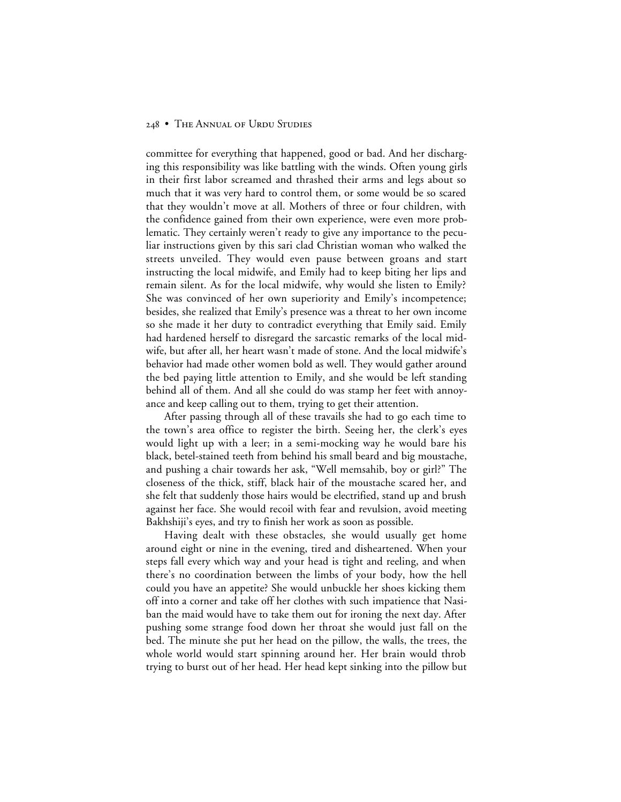committee for everything that happened, good or bad. And her discharging this responsibility was like battling with the winds. Often young girls in their first labor screamed and thrashed their arms and legs about so much that it was very hard to control them, or some would be so scared that they wouldn't move at all. Mothers of three or four children, with the confidence gained from their own experience, were even more problematic. They certainly weren't ready to give any importance to the peculiar instructions given by this sari clad Christian woman who walked the streets unveiled. They would even pause between groans and start instructing the local midwife, and Emily had to keep biting her lips and remain silent. As for the local midwife, why would she listen to Emily? She was convinced of her own superiority and Emily's incompetence; besides, she realized that Emily's presence was a threat to her own income so she made it her duty to contradict everything that Emily said. Emily had hardened herself to disregard the sarcastic remarks of the local midwife, but after all, her heart wasn't made of stone. And the local midwife's behavior had made other women bold as well. They would gather around the bed paying little attention to Emily, and she would be left standing behind all of them. And all she could do was stamp her feet with annoyance and keep calling out to them, trying to get their attention.

After passing through all of these travails she had to go each time to the town's area office to register the birth. Seeing her, the clerk's eyes would light up with a leer; in a semi-mocking way he would bare his black, betel-stained teeth from behind his small beard and big moustache, and pushing a chair towards her ask, "Well memsahib, boy or girl?" The closeness of the thick, stiff, black hair of the moustache scared her, and she felt that suddenly those hairs would be electrified, stand up and brush against her face. She would recoil with fear and revulsion, avoid meeting Bakhshiji's eyes, and try to finish her work as soon as possible.

Having dealt with these obstacles, she would usually get home around eight or nine in the evening, tired and disheartened. When your steps fall every which way and your head is tight and reeling, and when there's no coordination between the limbs of your body, how the hell could you have an appetite? She would unbuckle her shoes kicking them off into a corner and take off her clothes with such impatience that Nasiban the maid would have to take them out for ironing the next day. After pushing some strange food down her throat she would just fall on the bed. The minute she put her head on the pillow, the walls, the trees, the whole world would start spinning around her. Her brain would throb trying to burst out of her head. Her head kept sinking into the pillow but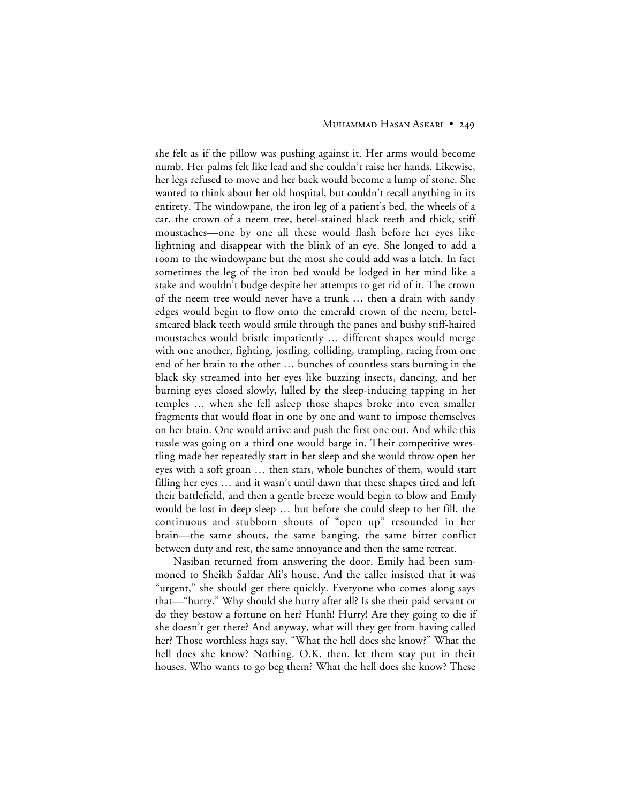she felt as if the pillow was pushing against it. Her arms would become numb. Her palms felt like lead and she couldn't raise her hands. Likewise, her legs refused to move and her back would become a lump of stone. She wanted to think about her old hospital, but couldn't recall anything in its entirety. The windowpane, the iron leg of a patient's bed, the wheels of a car, the crown of a neem tree, betel-stained black teeth and thick, stiff moustaches—one by one all these would flash before her eyes like lightning and disappear with the blink of an eye. She longed to add a room to the windowpane but the most she could add was a latch. In fact sometimes the leg of the iron bed would be lodged in her mind like a stake and wouldn't budge despite her attempts to get rid of it. The crown of the neem tree would never have a trunk … then a drain with sandy edges would begin to flow onto the emerald crown of the neem, betelsmeared black teeth would smile through the panes and bushy stiff-haired moustaches would bristle impatiently … different shapes would merge with one another, fighting, jostling, colliding, trampling, racing from one end of her brain to the other … bunches of countless stars burning in the black sky streamed into her eyes like buzzing insects, dancing, and her burning eyes closed slowly, lulled by the sleep-inducing tapping in her temples … when she fell asleep those shapes broke into even smaller fragments that would float in one by one and want to impose themselves on her brain. One would arrive and push the first one out. And while this tussle was going on a third one would barge in. Their competitive wrestling made her repeatedly start in her sleep and she would throw open her eyes with a soft groan … then stars, whole bunches of them, would start filling her eyes … and it wasn't until dawn that these shapes tired and left their battlefield, and then a gentle breeze would begin to blow and Emily would be lost in deep sleep … but before she could sleep to her fill, the continuous and stubborn shouts of "open up" resounded in her brain—the same shouts, the same banging, the same bitter conflict between duty and rest, the same annoyance and then the same retreat.

Nasiban returned from answering the door. Emily had been summoned to Sheikh Safdar Ali's house. And the caller insisted that it was "urgent," she should get there quickly. Everyone who comes along says that—"hurry." Why should she hurry after all? Is she their paid servant or do they bestow a fortune on her? Hunh! Hurry! Are they going to die if she doesn't get there? And anyway, what will they get from having called her? Those worthless hags say, "What the hell does she know?" What the hell does she know? Nothing. O.K. then, let them stay put in their houses. Who wants to go beg them? What the hell does she know? These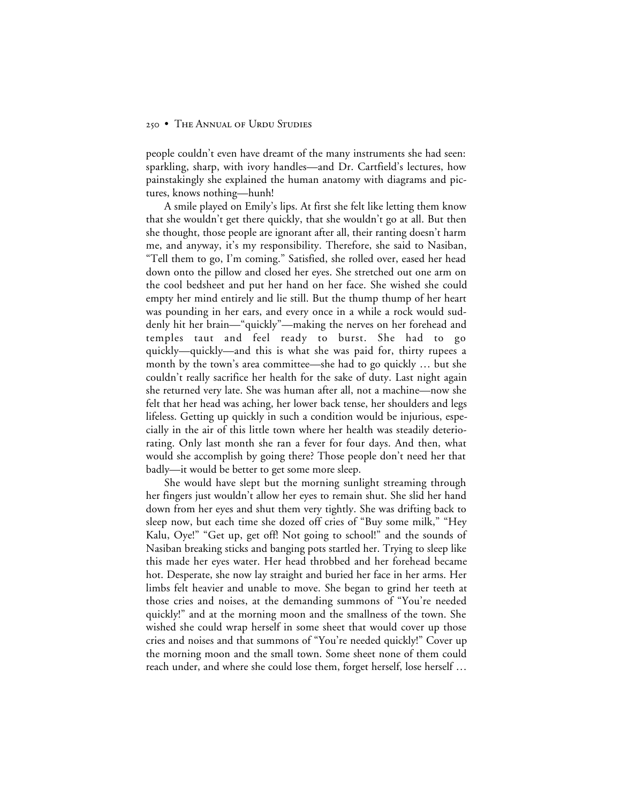people couldn't even have dreamt of the many instruments she had seen: sparkling, sharp, with ivory handles—and Dr. Cartfield's lectures, how painstakingly she explained the human anatomy with diagrams and pictures, knows nothing—hunh!

A smile played on Emily's lips. At first she felt like letting them know that she wouldn't get there quickly, that she wouldn't go at all. But then she thought, those people are ignorant after all, their ranting doesn't harm me, and anyway, it's my responsibility. Therefore, she said to Nasiban, "Tell them to go, I'm coming." Satisfied, she rolled over, eased her head down onto the pillow and closed her eyes. She stretched out one arm on the cool bedsheet and put her hand on her face. She wished she could empty her mind entirely and lie still. But the thump thump of her heart was pounding in her ears, and every once in a while a rock would suddenly hit her brain—"quickly"—making the nerves on her forehead and temples taut and feel ready to burst. She had to go quickly—quickly—and this is what she was paid for, thirty rupees a month by the town's area committee—she had to go quickly … but she couldn't really sacrifice her health for the sake of duty. Last night again she returned very late. She was human after all, not a machine—now she felt that her head was aching, her lower back tense, her shoulders and legs lifeless. Getting up quickly in such a condition would be injurious, especially in the air of this little town where her health was steadily deteriorating. Only last month she ran a fever for four days. And then, what would she accomplish by going there? Those people don't need her that badly—it would be better to get some more sleep.

She would have slept but the morning sunlight streaming through her fingers just wouldn't allow her eyes to remain shut. She slid her hand down from her eyes and shut them very tightly. She was drifting back to sleep now, but each time she dozed off cries of "Buy some milk," "Hey Kalu, Oye!" "Get up, get off! Not going to school!" and the sounds of Nasiban breaking sticks and banging pots startled her. Trying to sleep like this made her eyes water. Her head throbbed and her forehead became hot. Desperate, she now lay straight and buried her face in her arms. Her limbs felt heavier and unable to move. She began to grind her teeth at those cries and noises, at the demanding summons of "You're needed quickly!" and at the morning moon and the smallness of the town. She wished she could wrap herself in some sheet that would cover up those cries and noises and that summons of "You're needed quickly!" Cover up the morning moon and the small town. Some sheet none of them could reach under, and where she could lose them, forget herself, lose herself …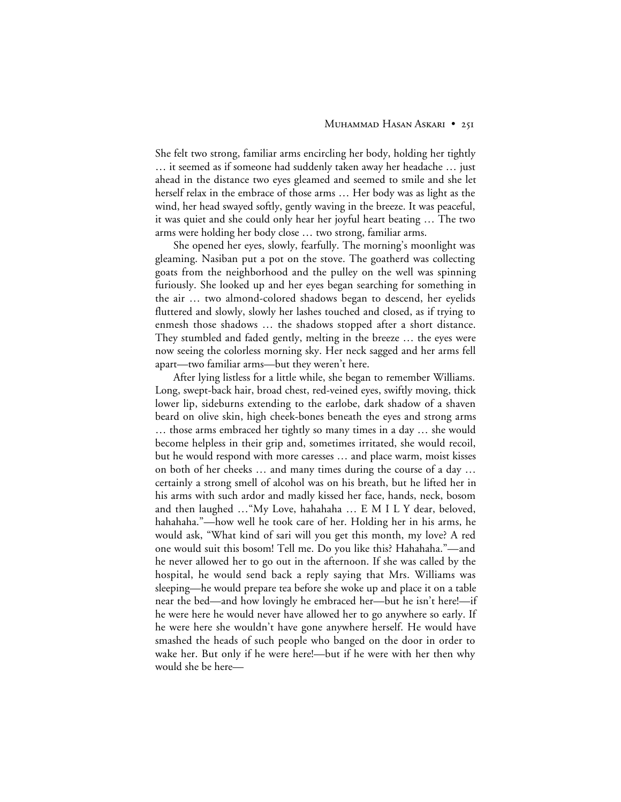She felt two strong, familiar arms encircling her body, holding her tightly … it seemed as if someone had suddenly taken away her headache … just ahead in the distance two eyes gleamed and seemed to smile and she let herself relax in the embrace of those arms … Her body was as light as the wind, her head swayed softly, gently waving in the breeze. It was peaceful, it was quiet and she could only hear her joyful heart beating … The two arms were holding her body close … two strong, familiar arms.

She opened her eyes, slowly, fearfully. The morning's moonlight was gleaming. Nasiban put a pot on the stove. The goatherd was collecting goats from the neighborhood and the pulley on the well was spinning furiously. She looked up and her eyes began searching for something in the air … two almond-colored shadows began to descend, her eyelids fluttered and slowly, slowly her lashes touched and closed, as if trying to enmesh those shadows … the shadows stopped after a short distance. They stumbled and faded gently, melting in the breeze … the eyes were now seeing the colorless morning sky. Her neck sagged and her arms fell apart—two familiar arms—but they weren't here.

After lying listless for a little while, she began to remember Williams. Long, swept-back hair, broad chest, red-veined eyes, swiftly moving, thick lower lip, sideburns extending to the earlobe, dark shadow of a shaven beard on olive skin, high cheek-bones beneath the eyes and strong arms … those arms embraced her tightly so many times in a day … she would become helpless in their grip and, sometimes irritated, she would recoil, but he would respond with more caresses … and place warm, moist kisses on both of her cheeks … and many times during the course of a day … certainly a strong smell of alcohol was on his breath, but he lifted her in his arms with such ardor and madly kissed her face, hands, neck, bosom and then laughed …"My Love, hahahaha … E M I L Y dear, beloved, hahahaha."—how well he took care of her. Holding her in his arms, he would ask, "What kind of sari will you get this month, my love? A red one would suit this bosom! Tell me. Do you like this? Hahahaha."—and he never allowed her to go out in the afternoon. If she was called by the hospital, he would send back a reply saying that Mrs. Williams was sleeping—he would prepare tea before she woke up and place it on a table near the bed—and how lovingly he embraced her—but he isn't here!—if he were here he would never have allowed her to go anywhere so early. If he were here she wouldn't have gone anywhere herself. He would have smashed the heads of such people who banged on the door in order to wake her. But only if he were here!—but if he were with her then why would she be here—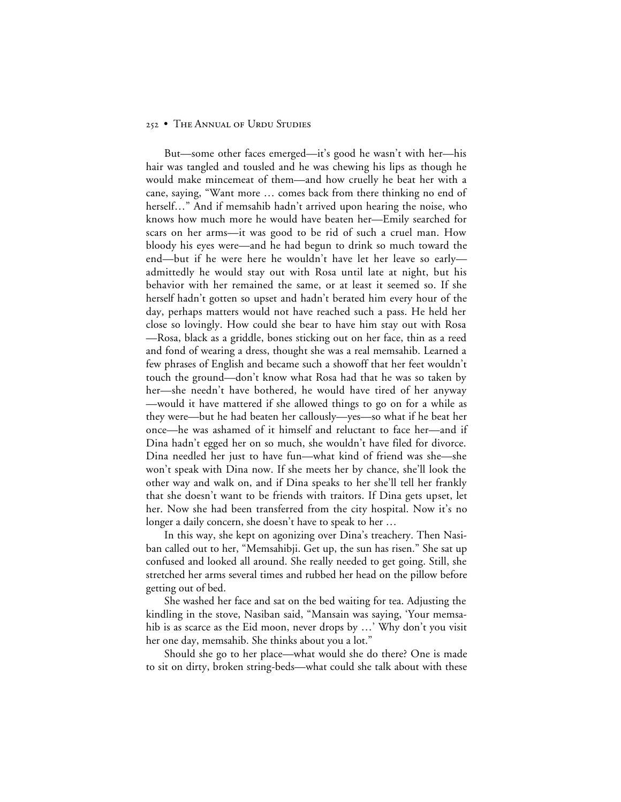But—some other faces emerged—it's good he wasn't with her—his hair was tangled and tousled and he was chewing his lips as though he would make mincemeat of them—and how cruelly he beat her with a cane, saying, "Want more … comes back from there thinking no end of herself…" And if memsahib hadn't arrived upon hearing the noise, who knows how much more he would have beaten her—Emily searched for scars on her arms—it was good to be rid of such a cruel man. How bloody his eyes were—and he had begun to drink so much toward the end—but if he were here he wouldn't have let her leave so early admittedly he would stay out with Rosa until late at night, but his behavior with her remained the same, or at least it seemed so. If she herself hadn't gotten so upset and hadn't berated him every hour of the day, perhaps matters would not have reached such a pass. He held her close so lovingly. How could she bear to have him stay out with Rosa —Rosa, black as a griddle, bones sticking out on her face, thin as a reed and fond of wearing a dress, thought she was a real memsahib. Learned a few phrases of English and became such a showoff that her feet wouldn't touch the ground—don't know what Rosa had that he was so taken by her—she needn't have bothered, he would have tired of her anyway —would it have mattered if she allowed things to go on for a while as they were—but he had beaten her callously—yes—so what if he beat her once—he was ashamed of it himself and reluctant to face her—and if Dina hadn't egged her on so much, she wouldn't have filed for divorce. Dina needled her just to have fun—what kind of friend was she—she won't speak with Dina now. If she meets her by chance, she'll look the other way and walk on, and if Dina speaks to her she'll tell her frankly that she doesn't want to be friends with traitors. If Dina gets upset, let her. Now she had been transferred from the city hospital. Now it's no longer a daily concern, she doesn't have to speak to her …

In this way, she kept on agonizing over Dina's treachery. Then Nasiban called out to her, "Memsahibji. Get up, the sun has risen." She sat up confused and looked all around. She really needed to get going. Still, she stretched her arms several times and rubbed her head on the pillow before getting out of bed.

She washed her face and sat on the bed waiting for tea. Adjusting the kindling in the stove, Nasiban said, "Mansain was saying, 'Your memsahib is as scarce as the Eid moon, never drops by ...' Why don't you visit her one day, memsahib. She thinks about you a lot."

Should she go to her place—what would she do there? One is made to sit on dirty, broken string-beds—what could she talk about with these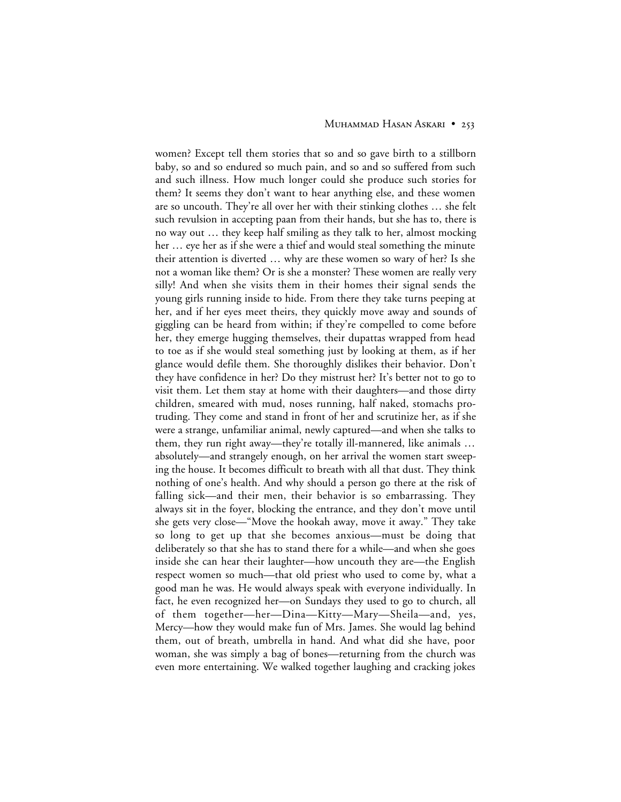### MUHAMMAD HASAN ASKARI • 253

women? Except tell them stories that so and so gave birth to a stillborn baby, so and so endured so much pain, and so and so suffered from such and such illness. How much longer could she produce such stories for them? It seems they don't want to hear anything else, and these women are so uncouth. They're all over her with their stinking clothes … she felt such revulsion in accepting paan from their hands, but she has to, there is no way out … they keep half smiling as they talk to her, almost mocking her … eye her as if she were a thief and would steal something the minute their attention is diverted … why are these women so wary of her? Is she not a woman like them? Or is she a monster? These women are really very silly! And when she visits them in their homes their signal sends the young girls running inside to hide. From there they take turns peeping at her, and if her eyes meet theirs, they quickly move away and sounds of giggling can be heard from within; if they're compelled to come before her, they emerge hugging themselves, their dupattas wrapped from head to toe as if she would steal something just by looking at them, as if her glance would defile them. She thoroughly dislikes their behavior. Don't they have confidence in her? Do they mistrust her? It's better not to go to visit them. Let them stay at home with their daughters—and those dirty children, smeared with mud, noses running, half naked, stomachs protruding. They come and stand in front of her and scrutinize her, as if she were a strange, unfamiliar animal, newly captured—and when she talks to them, they run right away—they're totally ill-mannered, like animals … absolutely—and strangely enough, on her arrival the women start sweeping the house. It becomes difficult to breath with all that dust. They think nothing of one's health. And why should a person go there at the risk of falling sick—and their men, their behavior is so embarrassing. They always sit in the foyer, blocking the entrance, and they don't move until she gets very close—"Move the hookah away, move it away." They take so long to get up that she becomes anxious—must be doing that deliberately so that she has to stand there for a while—and when she goes inside she can hear their laughter—how uncouth they are—the English respect women so much—that old priest who used to come by, what a good man he was. He would always speak with everyone individually. In fact, he even recognized her—on Sundays they used to go to church, all of them together—her—Dina—Kitty—Mary—Sheila—and, yes, Mercy—how they would make fun of Mrs. James. She would lag behind them, out of breath, umbrella in hand. And what did she have, poor woman, she was simply a bag of bones—returning from the church was even more entertaining. We walked together laughing and cracking jokes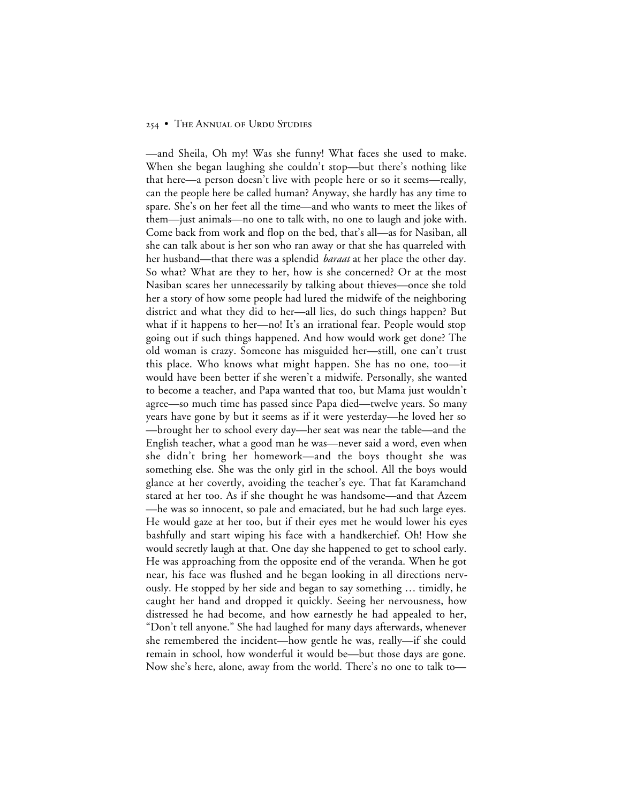—and Sheila, Oh my! Was she funny! What faces she used to make. When she began laughing she couldn't stop—but there's nothing like that here—a person doesn't live with people here or so it seems—really, can the people here be called human? Anyway, she hardly has any time to spare. She's on her feet all the time—and who wants to meet the likes of them—just animals—no one to talk with, no one to laugh and joke with. Come back from work and flop on the bed, that's all—as for Nasiban, all she can talk about is her son who ran away or that she has quarreled with her husband—that there was a splendid *baraat* at her place the other day. So what? What are they to her, how is she concerned? Or at the most Nasiban scares her unnecessarily by talking about thieves—once she told her a story of how some people had lured the midwife of the neighboring district and what they did to her—all lies, do such things happen? But what if it happens to her—no! It's an irrational fear. People would stop going out if such things happened. And how would work get done? The old woman is crazy. Someone has misguided her—still, one can't trust this place. Who knows what might happen. She has no one, too—it would have been better if she weren't a midwife. Personally, she wanted to become a teacher, and Papa wanted that too, but Mama just wouldn't agree—so much time has passed since Papa died—twelve years. So many years have gone by but it seems as if it were yesterday—he loved her so —brought her to school every day—her seat was near the table—and the English teacher, what a good man he was—never said a word, even when she didn't bring her homework—and the boys thought she was something else. She was the only girl in the school. All the boys would glance at her covertly, avoiding the teacher's eye. That fat Karamchand stared at her too. As if she thought he was handsome—and that Azeem —he was so innocent, so pale and emaciated, but he had such large eyes. He would gaze at her too, but if their eyes met he would lower his eyes bashfully and start wiping his face with a handkerchief. Oh! How she would secretly laugh at that. One day she happened to get to school early. He was approaching from the opposite end of the veranda. When he got near, his face was flushed and he began looking in all directions nervously. He stopped by her side and began to say something … timidly, he caught her hand and dropped it quickly. Seeing her nervousness, how distressed he had become, and how earnestly he had appealed to her, "Don't tell anyone." She had laughed for many days afterwards, whenever she remembered the incident—how gentle he was, really—if she could remain in school, how wonderful it would be—but those days are gone. Now she's here, alone, away from the world. There's no one to talk to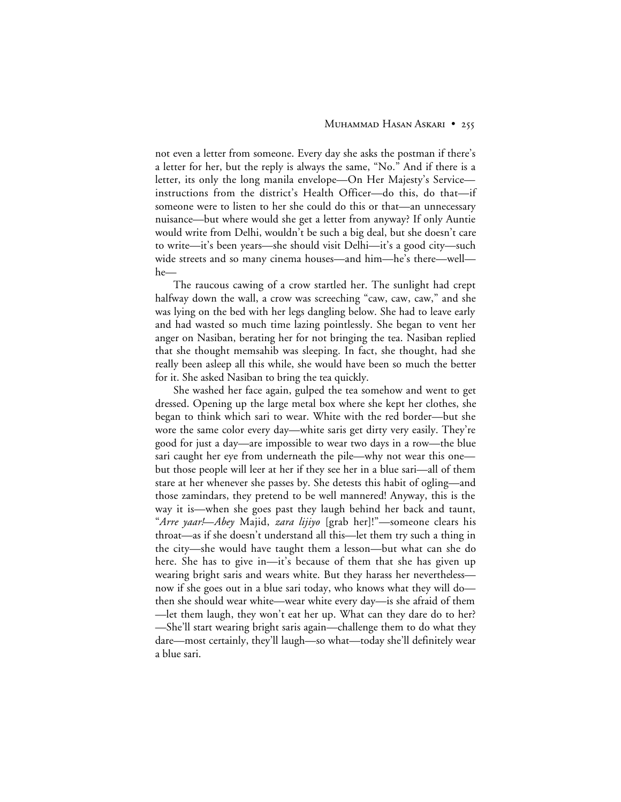not even a letter from someone. Every day she asks the postman if there's a letter for her, but the reply is always the same, "No." And if there is a letter, its only the long manila envelope—On Her Majesty's Service instructions from the district's Health Officer—do this, do that—if someone were to listen to her she could do this or that—an unnecessary nuisance—but where would she get a letter from anyway? If only Auntie would write from Delhi, wouldn't be such a big deal, but she doesn't care to write—it's been years—she should visit Delhi—it's a good city—such wide streets and so many cinema houses—and him—he's there—well he—

The raucous cawing of a crow startled her. The sunlight had crept halfway down the wall, a crow was screeching "caw, caw, caw," and she was lying on the bed with her legs dangling below. She had to leave early and had wasted so much time lazing pointlessly. She began to vent her anger on Nasiban, berating her for not bringing the tea. Nasiban replied that she thought memsahib was sleeping. In fact, she thought, had she really been asleep all this while, she would have been so much the better for it. She asked Nasiban to bring the tea quickly.

She washed her face again, gulped the tea somehow and went to get dressed. Opening up the large metal box where she kept her clothes, she began to think which sari to wear. White with the red border—but she wore the same color every day—white saris get dirty very easily. They're good for just a day—are impossible to wear two days in a row—the blue sari caught her eye from underneath the pile—why not wear this one but those people will leer at her if they see her in a blue sari—all of them stare at her whenever she passes by. She detests this habit of ogling—and those zamindars, they pretend to be well mannered! Anyway, this is the way it is—when she goes past they laugh behind her back and taunt, "*Arre yaar!*—*Abey* Majid, *zara lijiyo* [grab her]!"—someone clears his throat—as if she doesn't understand all this—let them try such a thing in the city—she would have taught them a lesson—but what can she do here. She has to give in—it's because of them that she has given up wearing bright saris and wears white. But they harass her nevertheless now if she goes out in a blue sari today, who knows what they will do then she should wear white—wear white every day—is she afraid of them —let them laugh, they won't eat her up. What can they dare do to her? —She'll start wearing bright saris again—challenge them to do what they dare—most certainly, they'll laugh—so what—today she'll definitely wear a blue sari.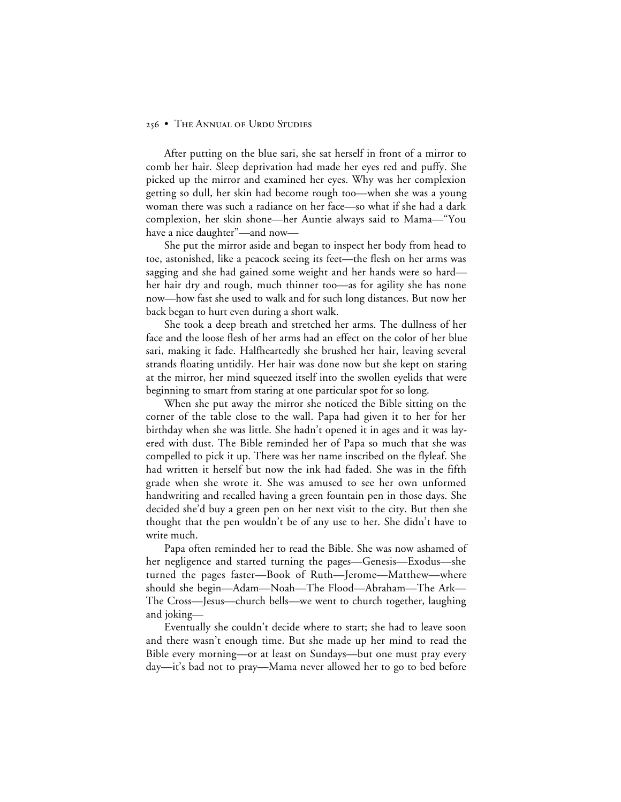After putting on the blue sari, she sat herself in front of a mirror to comb her hair. Sleep deprivation had made her eyes red and puffy. She picked up the mirror and examined her eyes. Why was her complexion getting so dull, her skin had become rough too—when she was a young woman there was such a radiance on her face—so what if she had a dark complexion, her skin shone—her Auntie always said to Mama—"You have a nice daughter"—and now—

She put the mirror aside and began to inspect her body from head to toe, astonished, like a peacock seeing its feet—the flesh on her arms was sagging and she had gained some weight and her hands were so hard her hair dry and rough, much thinner too—as for agility she has none now—how fast she used to walk and for such long distances. But now her back began to hurt even during a short walk.

She took a deep breath and stretched her arms. The dullness of her face and the loose flesh of her arms had an effect on the color of her blue sari, making it fade. Halfheartedly she brushed her hair, leaving several strands floating untidily. Her hair was done now but she kept on staring at the mirror, her mind squeezed itself into the swollen eyelids that were beginning to smart from staring at one particular spot for so long.

When she put away the mirror she noticed the Bible sitting on the corner of the table close to the wall. Papa had given it to her for her birthday when she was little. She hadn't opened it in ages and it was layered with dust. The Bible reminded her of Papa so much that she was compelled to pick it up. There was her name inscribed on the flyleaf. She had written it herself but now the ink had faded. She was in the fifth grade when she wrote it. She was amused to see her own unformed handwriting and recalled having a green fountain pen in those days. She decided she'd buy a green pen on her next visit to the city. But then she thought that the pen wouldn't be of any use to her. She didn't have to write much.

Papa often reminded her to read the Bible. She was now ashamed of her negligence and started turning the pages—Genesis—Exodus—she turned the pages faster—Book of Ruth—Jerome—Matthew—where should she begin—Adam—Noah—The Flood—Abraham—The Ark— The Cross—Jesus—church bells—we went to church together, laughing and joking—

Eventually she couldn't decide where to start; she had to leave soon and there wasn't enough time. But she made up her mind to read the Bible every morning—or at least on Sundays—but one must pray every day—it's bad not to pray—Mama never allowed her to go to bed before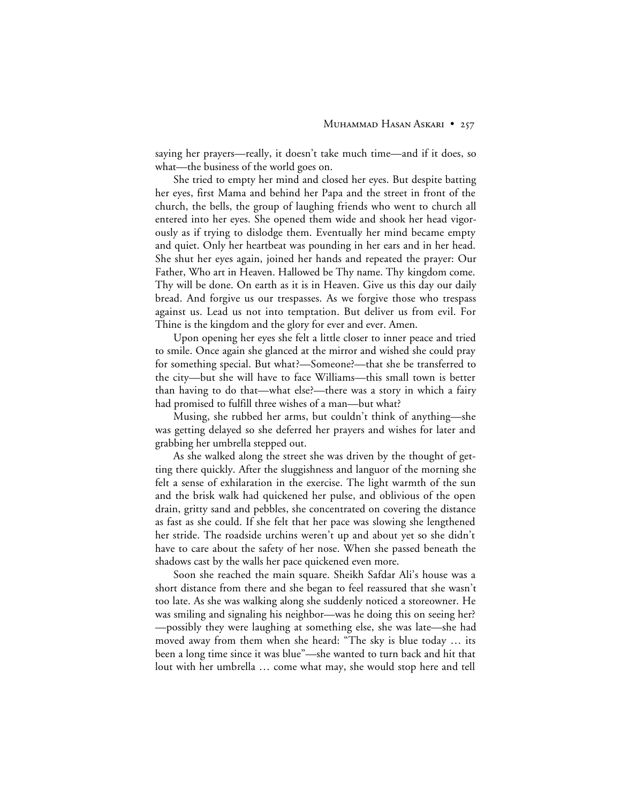saying her prayers—really, it doesn't take much time—and if it does, so what—the business of the world goes on.

She tried to empty her mind and closed her eyes. But despite batting her eyes, first Mama and behind her Papa and the street in front of the church, the bells, the group of laughing friends who went to church all entered into her eyes. She opened them wide and shook her head vigorously as if trying to dislodge them. Eventually her mind became empty and quiet. Only her heartbeat was pounding in her ears and in her head. She shut her eyes again, joined her hands and repeated the prayer: Our Father, Who art in Heaven. Hallowed be Thy name. Thy kingdom come. Thy will be done. On earth as it is in Heaven. Give us this day our daily bread. And forgive us our trespasses. As we forgive those who trespass against us. Lead us not into temptation. But deliver us from evil. For Thine is the kingdom and the glory for ever and ever. Amen.

Upon opening her eyes she felt a little closer to inner peace and tried to smile. Once again she glanced at the mirror and wished she could pray for something special. But what?—Someone?—that she be transferred to the city—but she will have to face Williams—this small town is better than having to do that—what else?—there was a story in which a fairy had promised to fulfill three wishes of a man—but what?

Musing, she rubbed her arms, but couldn't think of anything—she was getting delayed so she deferred her prayers and wishes for later and grabbing her umbrella stepped out.

As she walked along the street she was driven by the thought of getting there quickly. After the sluggishness and languor of the morning she felt a sense of exhilaration in the exercise. The light warmth of the sun and the brisk walk had quickened her pulse, and oblivious of the open drain, gritty sand and pebbles, she concentrated on covering the distance as fast as she could. If she felt that her pace was slowing she lengthened her stride. The roadside urchins weren't up and about yet so she didn't have to care about the safety of her nose. When she passed beneath the shadows cast by the walls her pace quickened even more.

Soon she reached the main square. Sheikh Safdar Ali's house was a short distance from there and she began to feel reassured that she wasn't too late. As she was walking along she suddenly noticed a storeowner. He was smiling and signaling his neighbor—was he doing this on seeing her? —possibly they were laughing at something else, she was late—she had moved away from them when she heard: "The sky is blue today … its been a long time since it was blue"—she wanted to turn back and hit that lout with her umbrella … come what may, she would stop here and tell